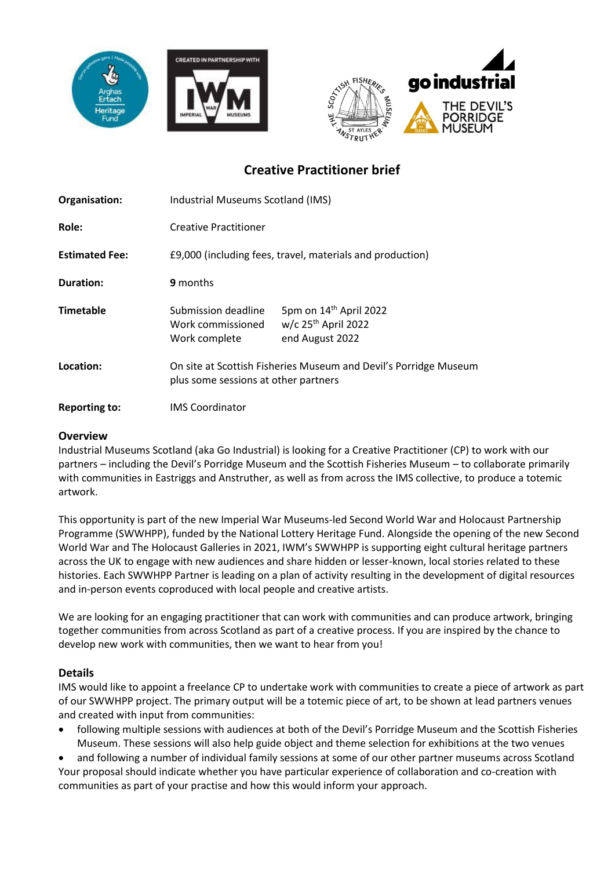





# **Creative Practitioner brief**

| Organisation:         | Industrial Museums Scotland (IMS)                                                                        |                                                                                            |
|-----------------------|----------------------------------------------------------------------------------------------------------|--------------------------------------------------------------------------------------------|
| Role:                 | <b>Creative Practitioner</b>                                                                             |                                                                                            |
| <b>Estimated Fee:</b> | £9,000 (including fees, travel, materials and production)                                                |                                                                                            |
| Duration:             | 9 months                                                                                                 |                                                                                            |
| <b>Timetable</b>      | Submission deadline<br>Work commissioned<br>Work complete                                                | 5pm on 14 <sup>th</sup> April 2022<br>$w/c$ 25 <sup>th</sup> April 2022<br>end August 2022 |
| Location:             | On site at Scottish Fisheries Museum and Devil's Porridge Museum<br>plus some sessions at other partners |                                                                                            |
| <b>Reporting to:</b>  | <b>IMS Coordinator</b>                                                                                   |                                                                                            |

#### **Overview**

Industrial Museums Scotland (aka Go Industrial) is looking for a Creative Practitioner (CP) to work with our partners – including the Devil's Porridge Museum and the Scottish Fisheries Museum – to collaborate primarily with communities in Eastriggs and Anstruther, as well as from across the IMS collective, to produce a totemic artwork.

This opportunity is part of the new Imperial War Museums-led Second World War and Holocaust Partnership Programme (SWWHPP), funded by the National Lottery Heritage Fund. Alongside the opening of the new Second World War and The Holocaust Galleries in 2021, IWM's SWWHPP is supporting eight cultural heritage partners across the UK to engage with new audiences and share hidden or lesser-known, local stories related to these histories. Each SWWHPP Partner is leading on a plan of activity resulting in the development of digital resources and in-person events coproduced with local people and creative artists.

We are looking for an engaging practitioner that can work with communities and can produce artwork, bringing together communities from across Scotland as part of a creative process. If you are inspired by the chance to develop new work with communities, then we want to hear from you!

## **Details**

IMS would like to appoint a freelance CP to undertake work with communities to create a piece of artwork as part of our SWWHPP project. The primary output will be a totemic piece of art, to be shown at lead partners venues and created with input from communities:

• following multiple sessions with audiences at both of the Devil's Porridge Museum and the Scottish Fisheries Museum. These sessions will also help guide object and theme selection for exhibitions at the two venues

• and following a number of individual family sessions at some of our other partner museums across Scotland Your proposal should indicate whether you have particular experience of collaboration and co-creation with communities as part of your practise and how this would inform your approach.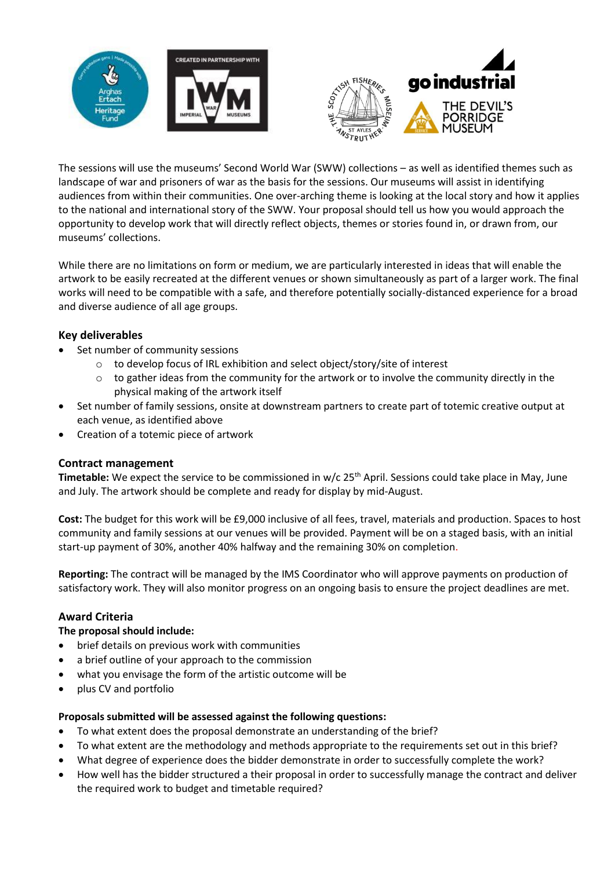



The sessions will use the museums' Second World War (SWW) collections – as well as identified themes such as landscape of war and prisoners of war as the basis for the sessions. Our museums will assist in identifying audiences from within their communities. One over-arching theme is looking at the local story and how it applies to the national and international story of the SWW. Your proposal should tell us how you would approach the opportunity to develop work that will directly reflect objects, themes or stories found in, or drawn from, our museums' collections.

While there are no limitations on form or medium, we are particularly interested in ideas that will enable the artwork to be easily recreated at the different venues or shown simultaneously as part of a larger work. The final works will need to be compatible with a safe, and therefore potentially socially-distanced experience for a broad and diverse audience of all age groups.

## **Key deliverables**

- Set number of community sessions
	- o to develop focus of IRL exhibition and select object/story/site of interest
	- $\circ$  to gather ideas from the community for the artwork or to involve the community directly in the physical making of the artwork itself
- Set number of family sessions, onsite at downstream partners to create part of totemic creative output at each venue, as identified above
- Creation of a totemic piece of artwork

## **Contract management**

Timetable: We expect the service to be commissioned in w/c 25<sup>th</sup> April. Sessions could take place in May, June and July. The artwork should be complete and ready for display by mid-August.

**Cost:** The budget for this work will be £9,000 inclusive of all fees, travel, materials and production. Spaces to host community and family sessions at our venues will be provided. Payment will be on a staged basis, with an initial start-up payment of 30%, another 40% halfway and the remaining 30% on completion.

**Reporting:** The contract will be managed by the IMS Coordinator who will approve payments on production of satisfactory work. They will also monitor progress on an ongoing basis to ensure the project deadlines are met.

## **Award Criteria**

## **The proposal should include:**

- brief details on previous work with communities
- a brief outline of your approach to the commission
- what you envisage the form of the artistic outcome will be
- plus CV and portfolio

#### **Proposals submitted will be assessed against the following questions:**

- To what extent does the proposal demonstrate an understanding of the brief?
- To what extent are the methodology and methods appropriate to the requirements set out in this brief?
- What degree of experience does the bidder demonstrate in order to successfully complete the work?
- How well has the bidder structured a their proposal in order to successfully manage the contract and deliver the required work to budget and timetable required?